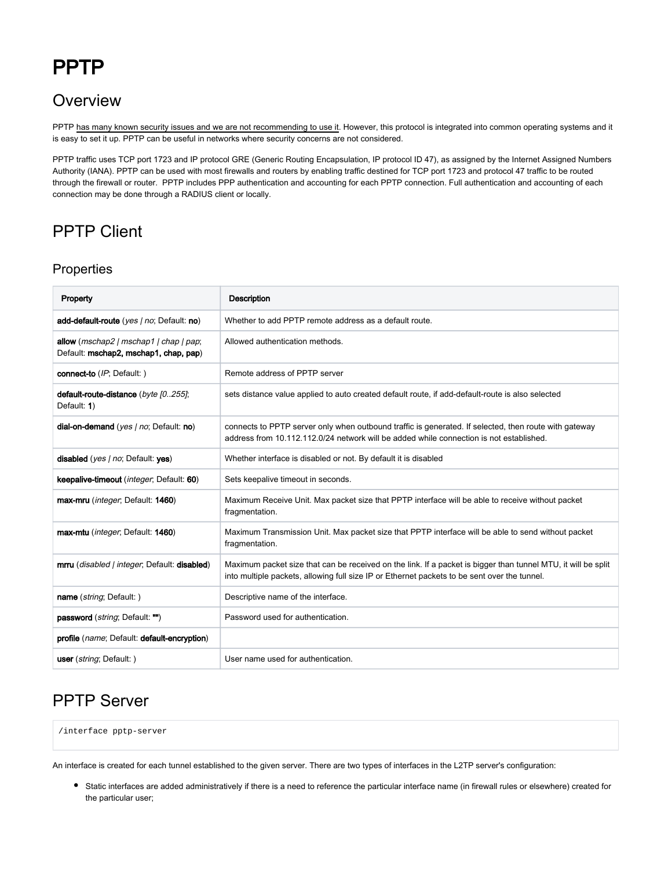# PPTP

## **Overview**

PPTP has many known security issues and we are not recommending to use it. However, this protocol is integrated into common operating systems and it is easy to set it up. PPTP can be useful in networks where security concerns are not considered.

PPTP traffic uses TCP port 1723 and IP protocol GRE (Generic Routing Encapsulation, IP protocol ID 47), as assigned by the Internet Assigned Numbers Authority (IANA). PPTP can be used with most firewalls and routers by enabling traffic destined for TCP port 1723 and protocol 47 traffic to be routed through the firewall or router. PPTP includes PPP authentication and accounting for each PPTP connection. Full authentication and accounting of each connection may be done through a RADIUS client or locally.

# PPTP Client

#### **Properties**

| Property                                                                        | <b>Description</b>                                                                                                                                                                                            |
|---------------------------------------------------------------------------------|---------------------------------------------------------------------------------------------------------------------------------------------------------------------------------------------------------------|
| add-default-route (yes / no; Default: no)                                       | Whether to add PPTP remote address as a default route.                                                                                                                                                        |
| allow (mschap2   mschap1   chap   pap;<br>Default: mschap2, mschap1, chap, pap) | Allowed authentication methods.                                                                                                                                                                               |
| connect-to (IP; Default:)                                                       | Remote address of PPTP server                                                                                                                                                                                 |
| default-route-distance (byte [0255];<br>Default: 1)                             | sets distance value applied to auto created default route, if add-default-route is also selected                                                                                                              |
| dial-on-demand (yes   no; Default: no)                                          | connects to PPTP server only when outbound traffic is generated. If selected, then route with gateway<br>address from 10.112.112.0/24 network will be added while connection is not established.              |
| disabled (yes   no; Default: yes)                                               | Whether interface is disabled or not. By default it is disabled                                                                                                                                               |
| keepalive-timeout (integer, Default: 60)                                        | Sets keepalive timeout in seconds.                                                                                                                                                                            |
| max-mru (integer, Default: 1460)                                                | Maximum Receive Unit. Max packet size that PPTP interface will be able to receive without packet<br>fragmentation.                                                                                            |
| max-mtu ( <i>integer</i> ; Default: 1460)                                       | Maximum Transmission Unit. Max packet size that PPTP interface will be able to send without packet<br>fragmentation.                                                                                          |
| mrru (disabled   integer, Default: disabled)                                    | Maximum packet size that can be received on the link. If a packet is bigger than tunnel MTU, it will be split<br>into multiple packets, allowing full size IP or Ethernet packets to be sent over the tunnel. |
| name ( <i>string</i> ; Default: )                                               | Descriptive name of the interface.                                                                                                                                                                            |
| password ( <i>string</i> ; Default: "")                                         | Password used for authentication.                                                                                                                                                                             |
| profile (name; Default: default-encryption)                                     |                                                                                                                                                                                                               |
| user ( <i>string</i> ; Default: )                                               | User name used for authentication.                                                                                                                                                                            |

## PPTP Server

/interface pptp-server

An interface is created for each tunnel established to the given server. There are two types of interfaces in the L2TP server's configuration:

Static interfaces are added administratively if there is a need to reference the particular interface name (in firewall rules or elsewhere) created for the particular user;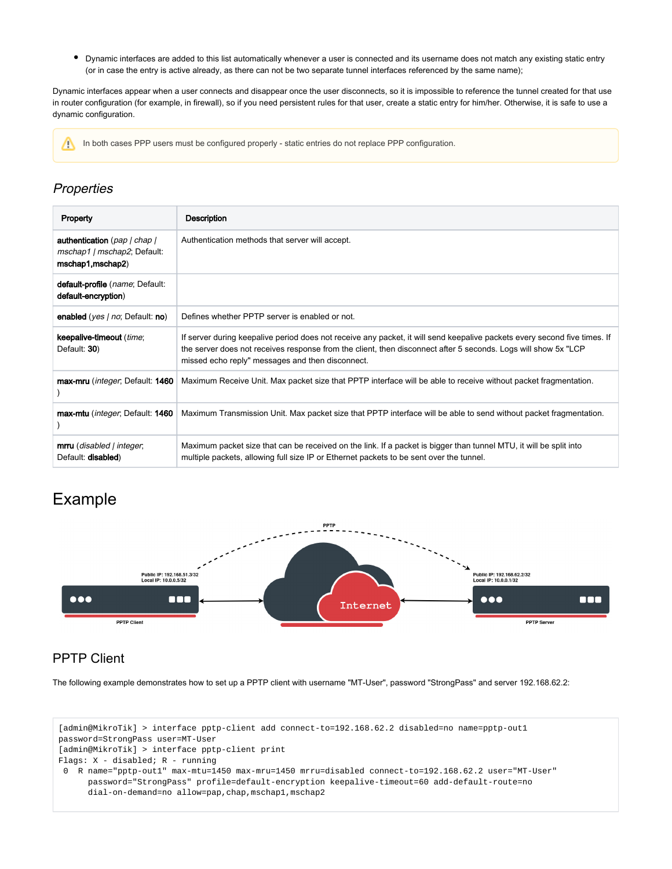Dynamic interfaces are added to this list automatically whenever a user is connected and its username does not match any existing static entry (or in case the entry is active already, as there can not be two separate tunnel interfaces referenced by the same name);

Dynamic interfaces appear when a user connects and disappear once the user disconnects, so it is impossible to reference the tunnel created for that use in router configuration (for example, in firewall), so if you need persistent rules for that user, create a static entry for him/her. Otherwise, it is safe to use a dynamic configuration.

In both cases PPP users must be configured properly - static entries do not replace PPP configuration. Λ

#### **Properties**

| Property                                                                         | Description                                                                                                                                                                                                                                                                                     |
|----------------------------------------------------------------------------------|-------------------------------------------------------------------------------------------------------------------------------------------------------------------------------------------------------------------------------------------------------------------------------------------------|
| authentication (pap   chap  <br>mschap1   mschap2; Default:<br>mschap1, mschap2) | Authentication methods that server will accept.                                                                                                                                                                                                                                                 |
| default-profile (name; Default:<br>default-encryption)                           |                                                                                                                                                                                                                                                                                                 |
| enabled (yes   no; Default: no)                                                  | Defines whether PPTP server is enabled or not.                                                                                                                                                                                                                                                  |
| keepalive-timeout (time;<br>Default: 30)                                         | If server during keepalive period does not receive any packet, it will send keepalive packets every second five times. If<br>the server does not receives response from the client, then disconnect after 5 seconds. Logs will show 5x "LCP<br>missed echo reply" messages and then disconnect. |
| max-mru (integer, Default: 1460                                                  | Maximum Receive Unit. Max packet size that PPTP interface will be able to receive without packet fragmentation.                                                                                                                                                                                 |
| max-mtu (integer, Default: 1460                                                  | Maximum Transmission Unit. Max packet size that PPTP interface will be able to send without packet fragmentation.                                                                                                                                                                               |
| <b>mrru</b> (disabled   integer,<br>Default: disabled)                           | Maximum packet size that can be received on the link. If a packet is bigger than tunnel MTU, it will be split into<br>multiple packets, allowing full size IP or Ethernet packets to be sent over the tunnel.                                                                                   |

### Example



#### PPTP Client

The following example demonstrates how to set up a PPTP client with username "MT-User", password "StrongPass" and server 192.168.62.2: